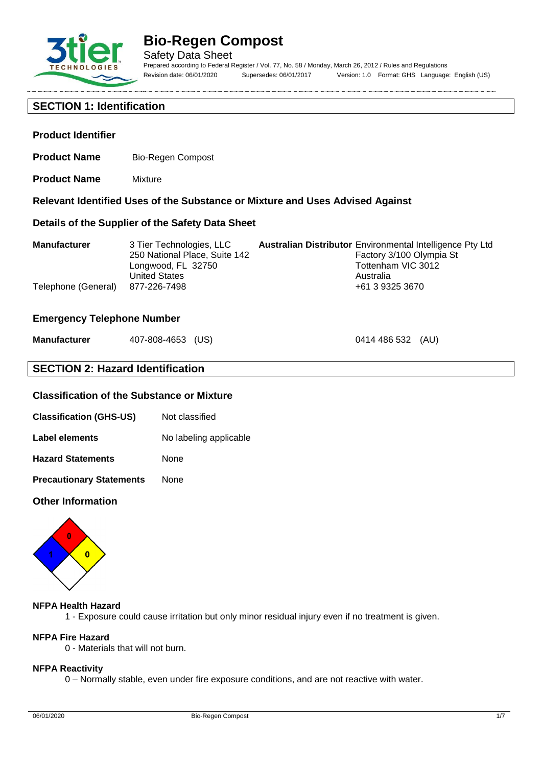

**Product Identifier**

# **Bio-Regen Compost**

**Relevant Identified Uses of the Substance or Mixture and Uses Advised Against**

Safety Data Sheet Prepared according to Federal Register / Vol. 77, No. 58 / Monday, March 26, 2012 / Rules and Regulations Revision date: 06/01/2020 Supersedes: 06/01/2017 Version: 1.0 Format: GHS Language: English (US)

0414 486 532 (AU)

#### **SECTION 1: Identification**

**Product Name** Mixture

**Product Name** Bio-Regen Compost

| Details of the Supplier of the Safety Data Sheet |                                                                                                                         |                                                                                                                        |                          |  |
|--------------------------------------------------|-------------------------------------------------------------------------------------------------------------------------|------------------------------------------------------------------------------------------------------------------------|--------------------------|--|
| <b>Manufacturer</b><br>Telephone (General)       | 3 Tier Technologies, LLC<br>250 National Place, Suite 142<br>Longwood, FL 32750<br><b>United States</b><br>877-226-7498 | <b>Australian Distributor</b> Environmental Intelligence Pty Ltd<br>Tottenham VIC 3012<br>Australia<br>+61 3 9325 3670 | Factory 3/100 Olympia St |  |

#### **Emergency Telephone Number**

| <b>Manufacturer</b> | 407-808-4653 (US) |  |
|---------------------|-------------------|--|
|---------------------|-------------------|--|

### **SECTION 2: Hazard Identification**

#### **Classification of the Substance or Mixture**

| Not classified |
|----------------|
|                |

| Label elements | No labeling applicable |
|----------------|------------------------|
|----------------|------------------------|

**Hazard Statements** None

**Precautionary Statements** None

#### **Other Information**



#### **NFPA Health Hazard**

1 - Exposure could cause irritation but only minor residual injury even if no treatment is given.

# **NFPA Fire Hazard**

0 - Materials that will not burn.

#### **NFPA Reactivity**

0 – Normally stable, even under fire exposure conditions, and are not reactive with water.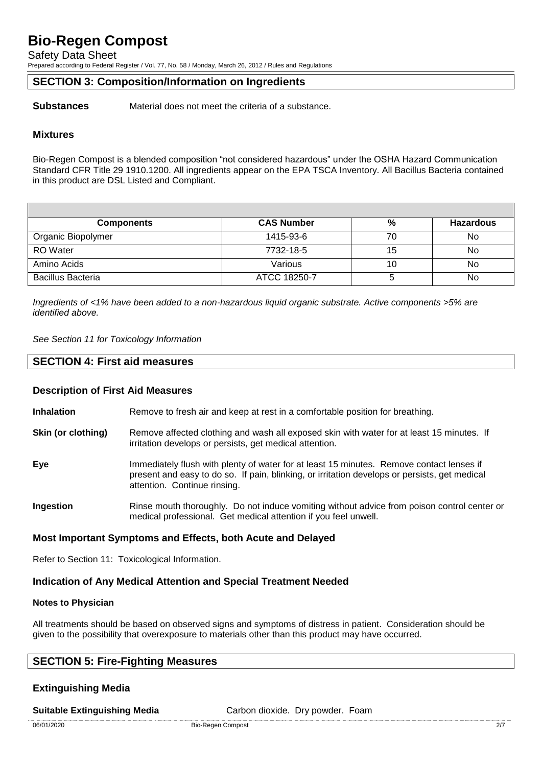Safety Data Sheet

Prepared according to Federal Register / Vol. 77, No. 58 / Monday, March 26, 2012 / Rules and Regulations

#### **SECTION 3: Composition/Information on Ingredients**

**Substances** Material does not meet the criteria of a substance.

#### **Mixtures**

Bio-Regen Compost is a blended composition "not considered hazardous" under the OSHA Hazard Communication Standard CFR Title 29 1910.1200. All ingredients appear on the EPA TSCA Inventory. All Bacillus Bacteria contained in this product are DSL Listed and Compliant.

| <b>Components</b>        | <b>CAS Number</b> | %  | <b>Hazardous</b> |
|--------------------------|-------------------|----|------------------|
| Organic Biopolymer       | 1415-93-6         | 70 | No               |
| <b>RO</b> Water          | 7732-18-5         | 15 | No               |
| Amino Acids              | Various           | 10 | No               |
| <b>Bacillus Bacteria</b> | ATCC 18250-7      |    | No               |

*Ingredients of <1% have been added to a non-hazardous liquid organic substrate. Active components >5% are identified above.*

*See Section 11 for Toxicology Information*

#### **SECTION 4: First aid measures**

#### **Description of First Aid Measures**

**Inhalation** Remove to fresh air and keep at rest in a comfortable position for breathing.

- **Skin (or clothing)** Remove affected clothing and wash all exposed skin with water for at least 15 minutes. If irritation develops or persists, get medical attention.
- **Eye** Immediately flush with plenty of water for at least 15 minutes. Remove contact lenses if present and easy to do so. If pain, blinking, or irritation develops or persists, get medical attention. Continue rinsing.
- **Ingestion** Rinse mouth thoroughly. Do not induce vomiting without advice from poison control center or medical professional. Get medical attention if you feel unwell.

#### **Most Important Symptoms and Effects, both Acute and Delayed**

Refer to Section 11: Toxicological Information.

#### **Indication of Any Medical Attention and Special Treatment Needed**

#### **Notes to Physician**

All treatments should be based on observed signs and symptoms of distress in patient. Consideration should be given to the possibility that overexposure to materials other than this product may have occurred.

#### **SECTION 5: Fire-Fighting Measures**

#### **Extinguishing Media**

**Suitable Extinguishing Media** Carbon dioxide. Dry powder. Foam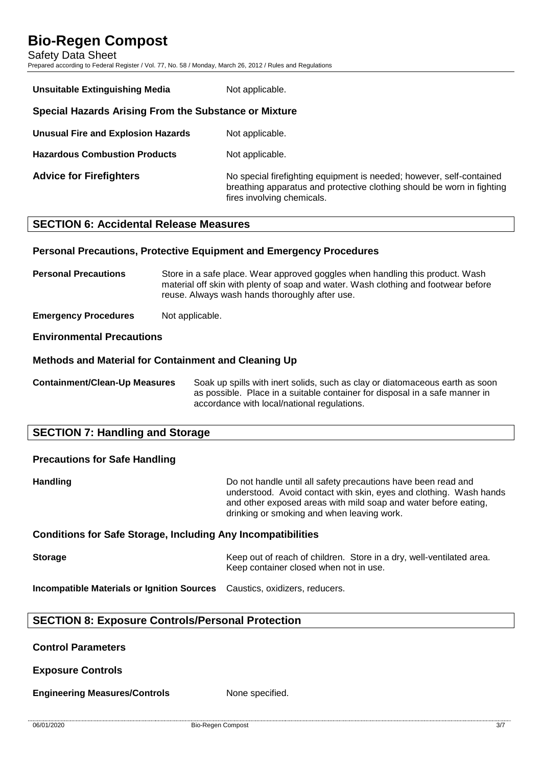Safety Data Sheet Prepared according to Federal Register / Vol. 77, No. 58 / Monday, March 26, 2012 / Rules and Regulations

| <b>Unsuitable Extinguishing Media</b>                 | Not applicable.                                                                                                                                                              |  |  |  |
|-------------------------------------------------------|------------------------------------------------------------------------------------------------------------------------------------------------------------------------------|--|--|--|
| Special Hazards Arising From the Substance or Mixture |                                                                                                                                                                              |  |  |  |
| <b>Unusual Fire and Explosion Hazards</b>             | Not applicable.                                                                                                                                                              |  |  |  |
| <b>Hazardous Combustion Products</b>                  | Not applicable.                                                                                                                                                              |  |  |  |
| <b>Advice for Firefighters</b>                        | No special firefighting equipment is needed; however, self-contained<br>breathing apparatus and protective clothing should be worn in fighting<br>fires involving chemicals. |  |  |  |

### **SECTION 6: Accidental Release Measures**

#### **Personal Precautions, Protective Equipment and Emergency Procedures**

**Personal Precautions** Store in a safe place. Wear approved goggles when handling this product. Wash material off skin with plenty of soap and water. Wash clothing and footwear before reuse. Always wash hands thoroughly after use.

**Emergency Procedures** Not applicable.

#### **Environmental Precautions**

#### **Methods and Material for Containment and Cleaning Up**

**Containment/Clean-Up Measures** Soak up spills with inert solids, such as clay or diatomaceous earth as soon as possible. Place in a suitable container for disposal in a safe manner in accordance with local/national regulations.

### **SECTION 7: Handling and Storage**

# **Precautions for Safe Handling**

**Handling Handling Handling Example 10** Do not handle until all safety precautions have been read and understood. Avoid contact with skin, eyes and clothing. Wash hands and other exposed areas with mild soap and water before eating, drinking or smoking and when leaving work.

#### **Conditions for Safe Storage, Including Any Incompatibilities**

**Storage** Keep out of reach of children. Store in a dry, well-ventilated area. Keep container closed when not in use.

**Incompatible Materials or Ignition Sources** Caustics, oxidizers, reducers.

#### **SECTION 8: Exposure Controls/Personal Protection**

#### **Control Parameters**

**Exposure Controls**

**Engineering Measures/Controls** None specified.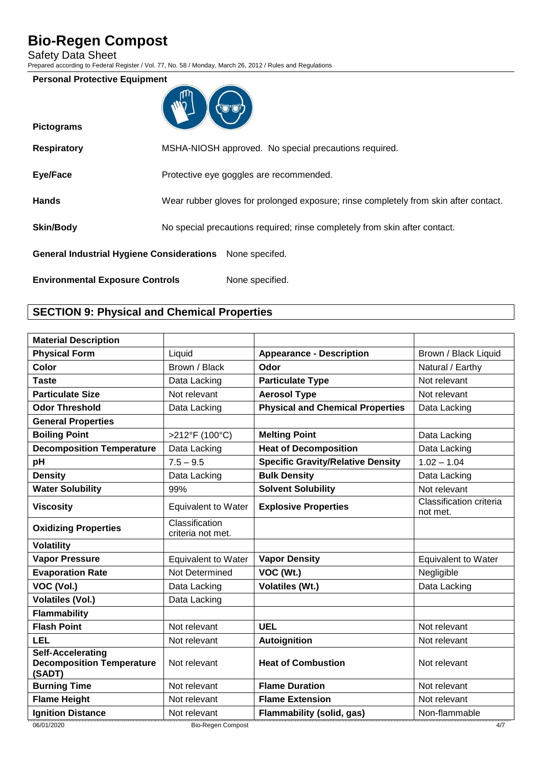Safety Data Sheet

Prepared according to Federal Register / Vol. 77, No. 58 / Monday, March 26, 2012 / Rules and Regulations

#### **Personal Protective Equipment**

| ጠካ |  |
|----|--|
| ľ. |  |
|    |  |

| <b>Pictograms</b>                                               |                                                                                      |
|-----------------------------------------------------------------|--------------------------------------------------------------------------------------|
| <b>Respiratory</b>                                              | MSHA-NIOSH approved. No special precautions required.                                |
| <b>Eye/Face</b>                                                 | Protective eye goggles are recommended.                                              |
| <b>Hands</b>                                                    | Wear rubber gloves for prolonged exposure; rinse completely from skin after contact. |
| <b>Skin/Body</b>                                                | No special precautions required; rinse completely from skin after contact.           |
| <b>General Industrial Hygiene Considerations</b> None specifed. |                                                                                      |
| <b>Environmental Exposure Controls</b>                          | None specified.                                                                      |

## **SECTION 9: Physical and Chemical Properties**

| <b>Material Description</b>                                            |                                     |                                          |                                     |
|------------------------------------------------------------------------|-------------------------------------|------------------------------------------|-------------------------------------|
| <b>Physical Form</b>                                                   | Liquid                              | <b>Appearance - Description</b>          | Brown / Black Liquid                |
| Color                                                                  | Brown / Black                       | Odor                                     | Natural / Earthy                    |
| <b>Taste</b>                                                           | Data Lacking                        | <b>Particulate Type</b>                  | Not relevant                        |
| <b>Particulate Size</b>                                                | Not relevant                        | <b>Aerosol Type</b>                      | Not relevant                        |
| <b>Odor Threshold</b>                                                  | Data Lacking                        | <b>Physical and Chemical Properties</b>  | Data Lacking                        |
| <b>General Properties</b>                                              |                                     |                                          |                                     |
| <b>Boiling Point</b>                                                   | >212°F (100°C)                      | <b>Melting Point</b>                     | Data Lacking                        |
| <b>Decomposition Temperature</b>                                       | Data Lacking                        | <b>Heat of Decomposition</b>             | Data Lacking                        |
| pH                                                                     | $7.5 - 9.5$                         | <b>Specific Gravity/Relative Density</b> | $1.02 - 1.04$                       |
| <b>Density</b>                                                         | Data Lacking                        | <b>Bulk Density</b>                      | Data Lacking                        |
| <b>Water Solubility</b>                                                | 99%                                 | <b>Solvent Solubility</b>                | Not relevant                        |
| <b>Viscosity</b>                                                       | <b>Equivalent to Water</b>          | <b>Explosive Properties</b>              | Classification criteria<br>not met. |
| <b>Oxidizing Properties</b>                                            | Classification<br>criteria not met. |                                          |                                     |
| <b>Volatility</b>                                                      |                                     |                                          |                                     |
| <b>Vapor Pressure</b>                                                  | <b>Equivalent to Water</b>          | <b>Vapor Density</b>                     | <b>Equivalent to Water</b>          |
| <b>Evaporation Rate</b>                                                | Not Determined                      | VOC (Wt.)                                | Negligible                          |
| VOC (Vol.)                                                             | Data Lacking                        | <b>Volatiles (Wt.)</b>                   | Data Lacking                        |
| <b>Volatiles (Vol.)</b>                                                | Data Lacking                        |                                          |                                     |
| <b>Flammability</b>                                                    |                                     |                                          |                                     |
| <b>Flash Point</b>                                                     | Not relevant                        | <b>UEL</b>                               | Not relevant                        |
| <b>LEL</b>                                                             | Not relevant                        | <b>Autoignition</b>                      | Not relevant                        |
| <b>Self-Accelerating</b><br><b>Decomposition Temperature</b><br>(SADT) | Not relevant                        | <b>Heat of Combustion</b>                | Not relevant                        |
| <b>Burning Time</b>                                                    | Not relevant                        | <b>Flame Duration</b>                    | Not relevant                        |
| <b>Flame Height</b>                                                    | Not relevant                        | <b>Flame Extension</b>                   | Not relevant                        |
| <b>Ignition Distance</b>                                               | Not relevant                        | Flammability (solid, gas)                | Non-flammable                       |
| 06/01/2020                                                             | <b>Bio-Regen Compost</b>            |                                          | 4/7                                 |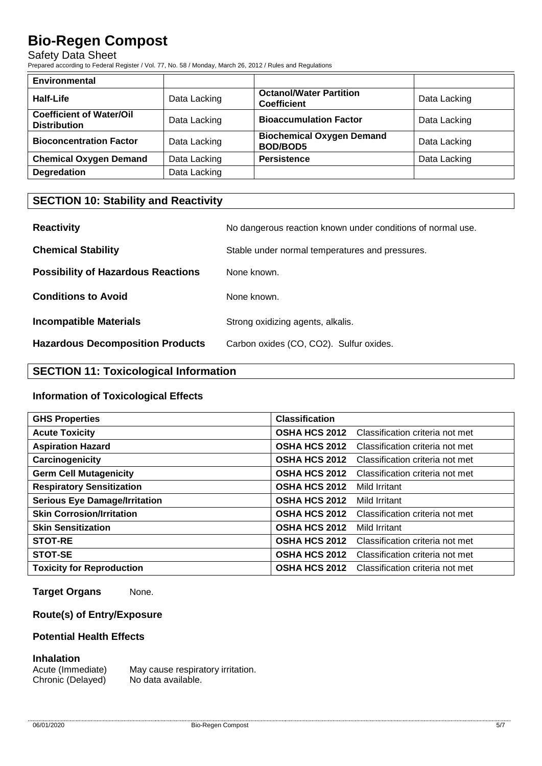#### Safety Data Sheet

Prepared according to Federal Register / Vol. 77, No. 58 / Monday, March 26, 2012 / Rules and Regulations

| <b>Environmental</b>                                   |              |                                                      |              |
|--------------------------------------------------------|--------------|------------------------------------------------------|--------------|
| Half-Life                                              | Data Lacking | <b>Octanol/Water Partition</b><br><b>Coefficient</b> | Data Lacking |
| <b>Coefficient of Water/Oil</b><br><b>Distribution</b> | Data Lacking | <b>Bioaccumulation Factor</b>                        | Data Lacking |
| <b>Bioconcentration Factor</b>                         | Data Lacking | <b>Biochemical Oxygen Demand</b><br><b>BOD/BOD5</b>  | Data Lacking |
| <b>Chemical Oxygen Demand</b>                          | Data Lacking | <b>Persistence</b>                                   | Data Lacking |
| <b>Degredation</b>                                     | Data Lacking |                                                      |              |

## **SECTION 10: Stability and Reactivity**

| <b>Reactivity</b>                         | No dangerous reaction known under conditions of normal use. |
|-------------------------------------------|-------------------------------------------------------------|
| <b>Chemical Stability</b>                 | Stable under normal temperatures and pressures.             |
| <b>Possibility of Hazardous Reactions</b> | None known.                                                 |
| <b>Conditions to Avoid</b>                | None known.                                                 |
| <b>Incompatible Materials</b>             | Strong oxidizing agents, alkalis.                           |
| <b>Hazardous Decomposition Products</b>   | Carbon oxides (CO, CO2). Sulfur oxides.                     |

# **SECTION 11: Toxicological Information**

#### **Information of Toxicological Effects**

| <b>GHS Properties</b>                | <b>Classification</b> |                                 |
|--------------------------------------|-----------------------|---------------------------------|
| <b>Acute Toxicity</b>                | <b>OSHA HCS 2012</b>  | Classification criteria not met |
| <b>Aspiration Hazard</b>             | <b>OSHA HCS 2012</b>  | Classification criteria not met |
| Carcinogenicity                      | <b>OSHA HCS 2012</b>  | Classification criteria not met |
| <b>Germ Cell Mutagenicity</b>        | <b>OSHA HCS 2012</b>  | Classification criteria not met |
| <b>Respiratory Sensitization</b>     | <b>OSHA HCS 2012</b>  | Mild Irritant                   |
| <b>Serious Eye Damage/Irritation</b> | <b>OSHA HCS 2012</b>  | Mild Irritant                   |
| <b>Skin Corrosion/Irritation</b>     | <b>OSHA HCS 2012</b>  | Classification criteria not met |
| <b>Skin Sensitization</b>            | <b>OSHA HCS 2012</b>  | Mild Irritant                   |
| <b>STOT-RE</b>                       | <b>OSHA HCS 2012</b>  | Classification criteria not met |
| STOT-SE                              | <b>OSHA HCS 2012</b>  | Classification criteria not met |
| <b>Toxicity for Reproduction</b>     | <b>OSHA HCS 2012</b>  | Classification criteria not met |

**Target Organs** None.

#### **Route(s) of Entry/Exposure**

#### **Potential Health Effects**

#### **Inhalation**

Acute (Immediate) May cause respiratory irritation. Chronic (Delayed) No data available.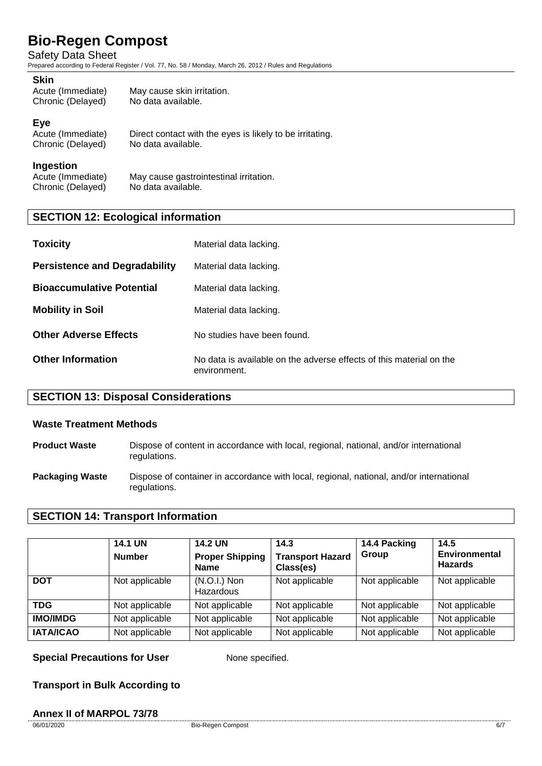Safety Data Sheet

Prepared according to Federal Register / Vol. 77, No. 58 / Monday, March 26, 2012 / Rules and Regulations

#### **Skin**

| Acute (Immediate) | May cause skin irritation. |
|-------------------|----------------------------|
| Chronic (Delayed) | No data available.         |

#### **Eye**

| Acute (Immediate) | Direct contact with the eyes is likely to be irritating. |
|-------------------|----------------------------------------------------------|
| Chronic (Delayed) | No data available.                                       |

#### **Ingestion**

Acute (Immediate) May cause gastrointestinal irritation.<br>Chronic (Delaved) No data available. Chronic (Delayed)

### **SECTION 12: Ecological information**

| <b>Toxicity</b>                      | Material data lacking.                                                              |
|--------------------------------------|-------------------------------------------------------------------------------------|
| <b>Persistence and Degradability</b> | Material data lacking.                                                              |
| <b>Bioaccumulative Potential</b>     | Material data lacking.                                                              |
| <b>Mobility in Soil</b>              | Material data lacking.                                                              |
| <b>Other Adverse Effects</b>         | No studies have been found.                                                         |
| <b>Other Information</b>             | No data is available on the adverse effects of this material on the<br>environment. |

### **SECTION 13: Disposal Considerations**

#### **Waste Treatment Methods**

- **Product Waste** Dispose of content in accordance with local, regional, national, and/or international regulations.
- **Packaging Waste** Dispose of container in accordance with local, regional, national, and/or international regulations.

#### **SECTION 14: Transport Information**

|                  | <b>14.1 UN</b><br><b>Number</b> | <b>14.2 UN</b><br><b>Proper Shipping</b><br><b>Name</b> | 14.3<br><b>Transport Hazard</b><br>Class(es) | 14.4 Packing<br>Group | 14.5<br><b>Environmental</b><br><b>Hazards</b> |
|------------------|---------------------------------|---------------------------------------------------------|----------------------------------------------|-----------------------|------------------------------------------------|
| <b>DOT</b>       | Not applicable                  | $(N.O.I.)$ Non<br>Hazardous                             | Not applicable                               | Not applicable        | Not applicable                                 |
| <b>TDG</b>       | Not applicable                  | Not applicable                                          | Not applicable                               | Not applicable        | Not applicable                                 |
| <b>IMO/IMDG</b>  | Not applicable                  | Not applicable                                          | Not applicable                               | Not applicable        | Not applicable                                 |
| <b>IATA/ICAO</b> | Not applicable                  | Not applicable                                          | Not applicable                               | Not applicable        | Not applicable                                 |

**Special Precautions for User** None specified.

**Transport in Bulk According to**

#### **Annex II of MARPOL 73/78**